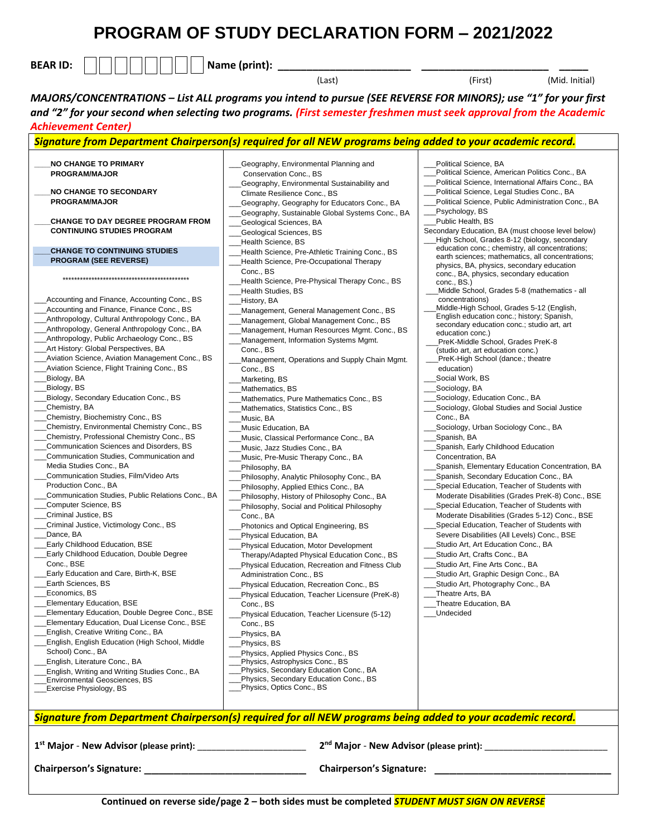## **PROGRAM OF STUDY DECLARATION FORM – 2021/2022**

| <b>BEAR ID:</b> |  |  |  |  |  |  |  |  | <b>Name</b><br> |  |  |  |
|-----------------|--|--|--|--|--|--|--|--|-----------------|--|--|--|
|-----------------|--|--|--|--|--|--|--|--|-----------------|--|--|--|

(Last) (First) (Mid. Initial)

*MAJORS/CONCENTRATIONS – List ALL programs you intend to pursue (SEE REVERSE FOR MINORS); use "1" for your first and "2" for your second when selecting two programs. (First semester freshmen must seek approval from the Academic Achievement Center)*

## *Signature from Department Chairperson(s) required for all NEW programs being added to your academic record.* **\_\_\_\_NO CHANGE TO PRIMARY PROGRAM/MAJOR \_\_\_\_NO CHANGE TO SECONDARY PROGRAM/MAJOR \_\_\_\_CHANGE TO DAY DEGREE PROGRAM FROM CONTINUING STUDIES PROGRAM \_\_\_\_CHANGE TO CONTINUING STUDIES PROGRAM (SEE REVERSE)** \*\*\*\*\*\*\*\*\*\*\*\*\*\*\*\*\*\*\*\*\*\*\*\*\*\*\*\*\*\*\*\*\*\*\*\*\*\*\*\*\*\*\*\* Accounting and Finance, Accounting Conc., BS Accounting and Finance, Finance Conc., BS \_\_[\\_Anthropology, Cultural Anthropology Conc., BA](http://catalog.bridgew.edu/preview_program.php?catoid=2&poid=231&returnto=80) \_\_[\\_Anthropology, General Anthropology Conc., BA](http://catalog.bridgew.edu/preview_program.php?catoid=2&poid=232&returnto=80) \_\_[\\_Anthropology, Public Archaeology Conc., BS](http://catalog.bridgew.edu/preview_program.php?catoid=2&poid=233&returnto=80) \_\_\_Art History: Global Perspectives, BA Aviation Science, Aviation Management Conc., BS \_\_[\\_Aviation Science, Flight Training Conc., BS](http://catalog.bridgew.edu/preview_program.php?catoid=2&poid=248&returnto=80) \_\_[\\_Biology, BA](http://catalog.bridgew.edu/preview_program.php?catoid=2&poid=251&returnto=80) \_\_[\\_Biology, BS](http://catalog.bridgew.edu/preview_program.php?catoid=2&poid=252&returnto=80) \_\_\_Biology, Secondary Education Conc., BS \_\_[\\_Chemistry, BA](http://catalog.bridgew.edu/preview_program.php?catoid=2&poid=259&returnto=80) \_\_\_Chemistry, Biochemistry Conc., BS \_\_[\\_Chemistry, Environmental Chemistry Conc., BS](http://catalog.bridgew.edu/preview_program.php?catoid=2&poid=261&returnto=80) \_\_[\\_Chemistry, Professional Chemistry Conc., BS](http://catalog.bridgew.edu/preview_program.php?catoid=2&poid=262&returnto=80) \_\_\_Communication Sciences and Disorders, BS \_\_[\\_Communication Studies, Communication and](http://catalog.bridgew.edu/preview_program.php?catoid=2&poid=268&returnto=80)   [Media Studies](http://catalog.bridgew.edu/preview_program.php?catoid=2&poid=268&returnto=80) Conc., BA \_\_\_Communication Studies, Film/Video Arts Production Conc., BA \_\_[\\_Communication Studies, P](http://catalog.bridgew.edu/preview_program.php?catoid=2&poid=270&returnto=80)ublic Relations Conc., BA \_\_[\\_Computer Science, BS](http://catalog.bridgew.edu/preview_program.php?catoid=2&poid=276&returnto=80) \_\_[\\_Criminal Justice, BS](http://catalog.bridgew.edu/preview_program.php?catoid=2&poid=289&returnto=80) \_\_[\\_Criminal Justice, Victimology Conc., BS](http://catalog.bridgew.edu/preview_program.php?catoid=2&poid=654&returnto=80) Dance, BA \_\_[\\_Early Childhood Education, BSE](http://catalog.bridgew.edu/preview_program.php?catoid=2&poid=295&returnto=80) \_\_\_Early Childhood Education, Double Degree Conc., BSE \_\_\_Early Education and Care, Birth-K, BSE \_\_\_Earth Sciences, BS Economics, BS \_\_\_Elementary Education, BSE \_\_\_Elementary Education, Double Degree Conc., BSE \_\_\_Elementary Education, Dual License Conc., BSE \_\_\_English, Creative Writing Conc., BA \_\_\_English, English Education (High School, Middle School) Conc., BA \_\_\_English, Literature Conc., BA \_\_\_English, Writing and Writing Studies Conc., BA \_\_\_Environmental Geosciences, BS \_Exercise Physiology, BS \_\_\_Geography, Environmental Planning and Conservation Conc., BS \_\_\_Geography, Environmental Sustainability and Climate Resilience Conc., BS \_\_\_Geography, Geography for Educators Conc., BA \_\_\_Geography, Sustainable Global Systems Conc., BA \_\_\_Geological Sciences, BA \_\_\_Geological Sciences, BS Health Science, BS Health Science, Pre-Athletic Training Conc., BS \_\_\_Health Science, Pre-Occupational Therapy Conc., BS Health Science, Pre-Physical Therapy Conc., BS \_\_\_Health Studies, BS History, BA Management, General Management Conc., BS Management, Global Management Conc., BS \_\_\_Management, Human Resources Mgmt. Conc., BS \_\_\_Management, Information Systems Mgmt. Conc., BS Management, Operations and Supply Chain Mgmt. Conc., BS Marketing, BS Mathematics, BS Mathematics, Pure Mathematics Conc., BS Mathematics, Statistics Conc., BS Music, BA \_\_\_Music Education, BA \_\_\_Music, Classical Performance Conc., BA Music, Jazz Studies Conc., BA Music, Pre-Music Therapy Conc., BA \_\_\_Philosophy, BA \_\_\_Philosophy, Analytic Philosophy Conc., BA \_\_\_Philosophy, Applied Ethics Conc., BA \_\_\_Philosophy, History of Philosophy Conc., BA \_\_\_Philosophy, Social and Political Philosophy Conc., BA \_\_\_Photonics and Optical Engineering, BS \_\_\_Physical Education, BA \_\_\_Physical Education, Motor Development Therapy/Adapted Physical Education Conc., BS \_\_\_Physical Education, Recreation and Fitness Club Administration Conc., BS Physical Education, Recreation Conc., BS \_\_\_Physical Education, Teacher Licensure (PreK-8) Conc., BS \_\_\_Physical Education, Teacher Licensure (5-12) Conc., BS Physics, BA Physics, BS Physics, Applied Physics Conc., BS \_\_\_Physics, Astrophysics Conc., BS Physics, Secondary Education Conc., BA \_\_\_Physics, Secondary Education Conc., BS \_\_\_Physics, Optics Conc., BS Political Science, BA \_\_\_Political Science, American Politics Conc., BA Political Science, International Affairs Conc., BA \_\_\_Political Science, Legal Studies Conc., BA \_\_\_Political Science, Public Administration Conc., BA Psychology, BS Public Health, BS Secondary Education, BA (must choose level below) \_\_\_High School, Grades 8-12 (biology, secondary education conc.; chemistry, all concentrations; earth sciences; mathematics, all concentrations; physics, BA, physics, secondary education conc., BA, physics, secondary education conc., BS.) \_\_\_Middle School, Grades 5-8 (mathematics - all concentrations) \_\_\_Middle-High School, Grades 5-12 (English, English education conc.; history; Spanish, secondary education conc.; studio art, art education conc.) \_\_\_PreK-Middle School, Grades PreK-8 (studio art, art education conc.) PreK-High School (dance.; theatre education) Social Work, BS \_\_\_Sociology, BA Sociology, Education Conc., BA \_\_\_Sociology, Global Studies and Social Justice Conc., BA Sociology, Urban Sociology Conc., BA \_\_\_Spanish, BA \_\_\_Spanish, Early Childhood Education Concentration, BA \_\_\_Spanish, Elementary Education Concentration, BA \_\_\_Spanish, Secondary Education Conc., BA \_\_\_Special Education, Teacher of Students with Moderate Disabilities (Grades PreK-8) Conc., BSE \_\_\_Special Education, Teacher of Students with Moderate Disabilities (Grades 5-12) Conc., BSE \_\_\_Special Education, Teacher of Students with Severe Disabilities (All Levels) Conc., BSE Studio Art, Art Education Conc., BA \_\_\_Studio Art, Crafts Conc., BA Studi[o Art, Fine Arts Conc., BA](http://catalog.bridgew.edu/preview_program.php?catoid=2&poid=239&returnto=80) \_\_\_Studi[o Art, Graphic Design Conc., BA](http://catalog.bridgew.edu/preview_program.php?catoid=2&poid=240&returnto=80) \_\_\_Studi[o Art, Photography Conc., BA](http://catalog.bridgew.edu/preview_program.php?catoid=2&poid=242&returnto=80) \_\_\_Theatre Arts, BA \_\_\_Theatre Education, BA \_\_\_Undecided *Signature from Department Chairperson(s) required for all NEW programs being added to your academic record.* **1 st Major** - **New Advisor (please print):** \_\_\_\_\_\_\_\_\_\_\_\_\_\_\_\_\_\_\_\_\_\_\_ **2 nd Major** - **New Advisor (please print):** \_\_\_\_\_\_\_\_\_\_\_\_\_\_\_\_\_\_\_\_\_\_\_\_\_\_ **Chairperson's Signature:** \_\_\_\_\_\_\_\_\_\_\_\_\_\_\_\_\_\_\_\_\_\_ **Chairperson's Signature:** \_\_\_\_\_\_\_\_\_\_\_\_\_\_\_\_\_\_\_\_\_\_\_\_

**Continued on reverse side/page 2 – both sides must be completed** *STUDENT MUST SIGN ON REVERSE*